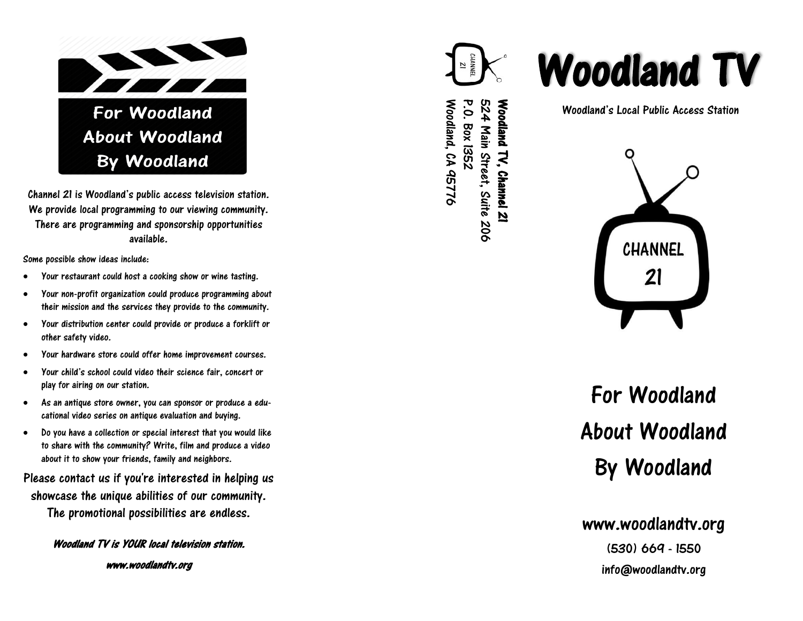

Channel 21 is Woodland's public access television station. We provide local programming to our viewing community. There are programming and sponsorship opportunities available.

Some possible show ideas include:

- Your restaurant could host a cooking show or wine tasting.
- Your non-profit organization could produce programming about their mission and the services they provide to the community.
- Your distribution center could provide or produce a forklift or other safety video.
- Your hardware store could offer home improvement courses.
- Your child's school could video their science fair, concert or play for airing on our station.
- As an antique store owner, you can sponsor or produce a educational video series on antique evaluation and buying.
- Do you have a collection or special interest that you would like to share with the community? Write, film and produce a video about it to show your friends, family and neighbors.

Please contact us if you're interested in helping us showcase the unique abilities of our community. The promotional possibilities are endless.

Woodland TV is YOUR local television station.



Woodland, CA 95776

P.O. Box 1352

524 Main Street, Suite 206 Woodland TV, Channel 21

Woodland's Local Public Access Station



# For Woodland About Woodland By Woodland

### www.woodlandtv.org

(530) 669 - 1550 info@woodlandtv.org